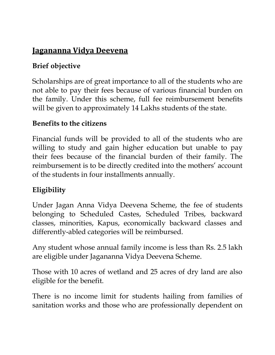# **Jagananna Vidya Deevena**

### **Brief objective**

Scholarships are of great importance to all of the students who are not able to pay their fees because of various financial burden on the family. Under this scheme, full fee reimbursement benefits will be given to approximately 14 Lakhs students of the state.

#### **Benefits to the citizens**

Financial funds will be provided to all of the students who are willing to study and gain higher education but unable to pay their fees because of the financial burden of their family. The reimbursement is to be directly credited into the mothers' account of the students in four installments annually.

#### **Eligibility**

Under Jagan Anna Vidya Deevena Scheme, the fee of students belonging to Scheduled Castes, Scheduled Tribes, backward classes, minorities, Kapus, economically backward classes and differently-abled categories will be reimbursed.

Any student whose annual family income is less than Rs. 2.5 lakh are eligible under Jagananna Vidya Deevena Scheme.

Those with 10 acres of wetland and 25 acres of dry land are also eligible for the benefit.

There is no income limit for students hailing from families of sanitation works and those who are professionally dependent on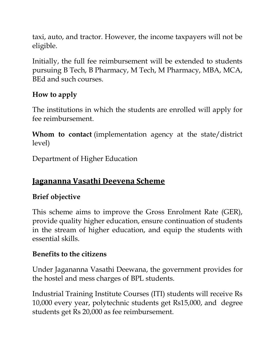taxi, auto, and tractor. However, the income taxpayers will not be eligible.

Initially, the full fee reimbursement will be extended to students pursuing B Tech, B Pharmacy, M Tech, M Pharmacy, MBA, MCA, BEd and such courses.

### **How to apply**

The institutions in which the students are enrolled will apply for fee reimbursement.

**Whom to contact** (implementation agency at the state/district level)

Department of Higher Education

### **Jagananna Vasathi Deevena Scheme**

#### **Brief objective**

This scheme aims to improve the Gross Enrolment Rate (GER), provide quality higher education, ensure continuation of students in the stream of higher education, and equip the students with essential skills.

#### **Benefits to the citizens**

Under Jagananna Vasathi Deewana, the government provides for the hostel and mess charges of BPL students.

Industrial Training Institute Courses (ITI) students will receive Rs 10,000 every year, polytechnic students get Rs15,000, and degree students get Rs 20,000 as fee reimbursement.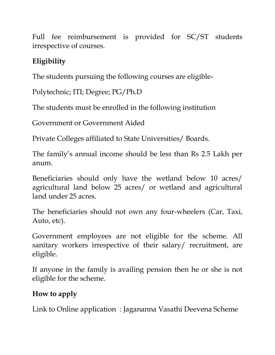Full fee reimbursement is provided for SC/ST students irrespective of courses.

# **Eligibility**

The students pursuing the following courses are eligible-

Polytechnic; ITI; Degree; PG/Ph.D

The students must be enrolled in the following institution

Government or Government Aided

Private Colleges affiliated to State Universities/ Boards.

The family's annual income should be less than Rs 2.5 Lakh per anum.

Beneficiaries should only have the wetland below 10 acres/ agricultural land below 25 acres/ or wetland and agricultural land under 25 acres.

The beneficiaries should not own any four-wheelers (Car, Taxi, Auto, etc).

Government employees are not eligible for the scheme. All sanitary workers irrespective of their salary/ recruitment, are eligible.

If anyone in the family is availing pension then he or she is not eligible for the scheme.

## **How to apply**

Link to Online application : Jagananna Vasathi Deevena Scheme